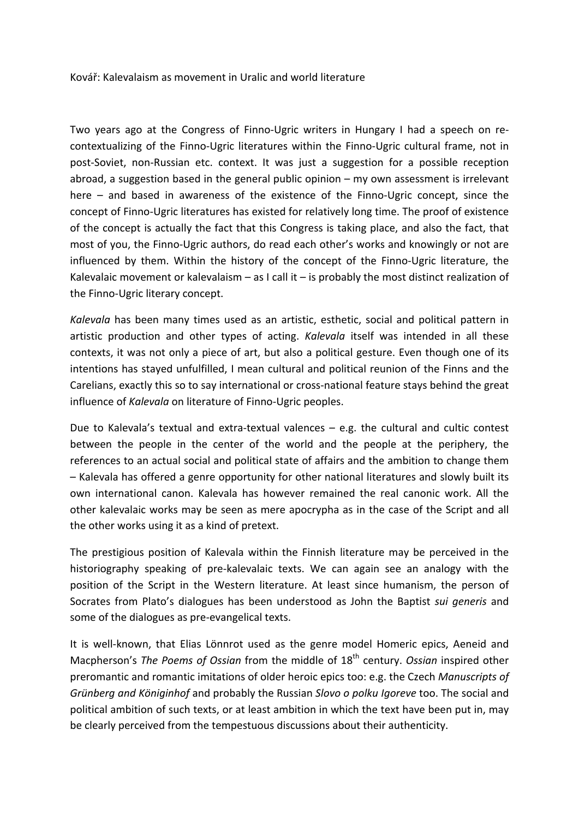## Kovář: Kalevalaism as movement in Uralic and world literature

Two years ago at the Congress of Finno-Ugric writers in Hungary I had a speech on recontextualizing of the Finno-Ugric literatures within the Finno-Ugric cultural frame, not in post-Soviet, non-Russian etc. context. It was just a suggestion for a possible reception abroad, a suggestion based in the general public opinion  $-$  my own assessment is irrelevant here  $-$  and based in awareness of the existence of the Finno-Ugric concept, since the concept of Finno-Ugric literatures has existed for relatively long time. The proof of existence of the concept is actually the fact that this Congress is taking place, and also the fact, that most of you, the Finno-Ugric authors, do read each other's works and knowingly or not are influenced by them. Within the history of the concept of the Finno-Ugric literature, the Kalevalaic movement or kalevalaism – as I call it – is probably the most distinct realization of the Finno-Ugric literary concept.

*Kalevala* has been many times used as an artistic, esthetic, social and political pattern in artistic production and other types of acting. *Kalevala* itself was intended in all these contexts, it was not only a piece of art, but also a political gesture. Even though one of its intentions has stayed unfulfilled, I mean cultural and political reunion of the Finns and the Carelians, exactly this so to say international or cross-national feature stays behind the great influence of *Kalevala* on literature of Finno-Ugric peoples.

Due to Kalevala's textual and extra-textual valences  $-$  e.g. the cultural and cultic contest between the people in the center of the world and the people at the periphery, the references to an actual social and political state of affairs and the ambition to change them  $-$  Kalevala has offered a genre opportunity for other national literatures and slowly built its own international canon. Kalevala has however remained the real canonic work. All the other kalevalaic works may be seen as mere apocrypha as in the case of the Script and all the other works using it as a kind of pretext.

The prestigious position of Kalevala within the Finnish literature may be perceived in the historiography speaking of pre-kalevalaic texts. We can again see an analogy with the position of the Script in the Western literature. At least since humanism, the person of Socrates from Plato's dialogues has been understood as John the Baptist *sui generis* and some of the dialogues as pre-evangelical texts.

It is well-known, that Elias Lönnrot used as the genre model Homeric epics, Aeneid and Macpherson's *The Poems of Ossian* from the middle of 18<sup>th</sup> century. *Ossian* inspired other preromantic and romantic imitations of older heroic epics too: e.g. the Czech *Manuscripts of Grünberg* and *Königinhof* and probably the Russian *Slovo o polku Igoreve* too. The social and political ambition of such texts, or at least ambition in which the text have been put in, may be clearly perceived from the tempestuous discussions about their authenticity.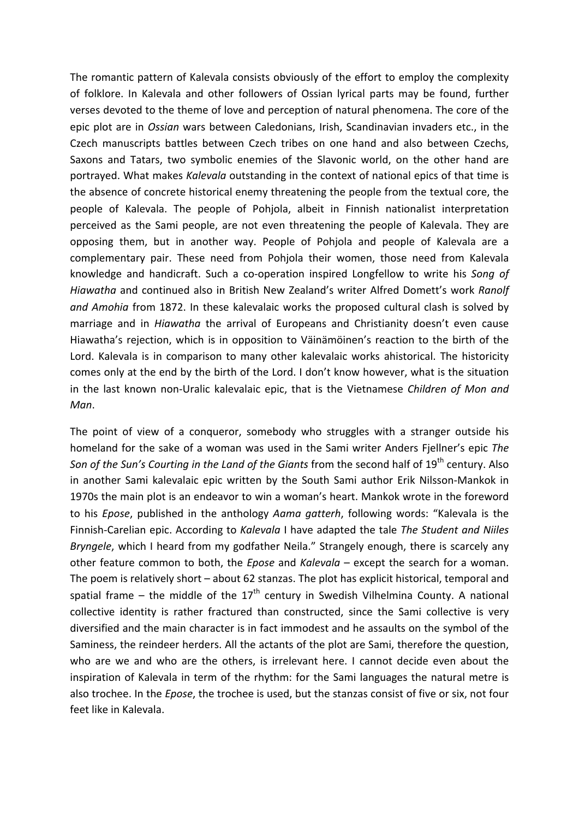The romantic pattern of Kalevala consists obviously of the effort to employ the complexity of folklore. In Kalevala and other followers of Ossian Iyrical parts may be found, further verses devoted to the theme of love and perception of natural phenomena. The core of the epic plot are in *Ossian* wars between Caledonians, Irish, Scandinavian invaders etc., in the Czech manuscripts battles between Czech tribes on one hand and also between Czechs, Saxons and Tatars, two symbolic enemies of the Slavonic world, on the other hand are portrayed. What makes *Kalevala* outstanding in the context of national epics of that time is the absence of concrete historical enemy threatening the people from the textual core, the people of Kalevala. The people of Pohjola, albeit in Finnish nationalist interpretation perceived as the Sami people, are not even threatening the people of Kalevala. They are opposing them, but in another way. People of Pohjola and people of Kalevala are a complementary pair. These need from Pohjola their women, those need from Kalevala knowledge and handicraft. Such a co-operation inspired Longfellow to write his Song of *Hiawatha* and continued also in British New Zealand's writer Alfred Domett's work Ranolf and Amohia from 1872. In these kalevalaic works the proposed cultural clash is solved by marriage and in *Hiawatha* the arrival of Europeans and Christianity doesn't even cause Hiawatha's rejection, which is in opposition to Väinämöinen's reaction to the birth of the Lord. Kalevala is in comparison to many other kalevalaic works ahistorical. The historicity comes only at the end by the birth of the Lord. I don't know however, what is the situation in the last known non-Uralic kalevalaic epic, that is the Vietnamese *Children of Mon and Man*.

The point of view of a conqueror, somebody who struggles with a stranger outside his homeland for the sake of a woman was used in the Sami writer Anders Fjellner's epic The *Son of the Sun's Courting in the Land of the Giants from the second half of 19<sup>th</sup> century. Also* in another Sami kalevalaic epic written by the South Sami author Erik Nilsson-Mankok in 1970s the main plot is an endeavor to win a woman's heart. Mankok wrote in the foreword to his *Epose*, published in the anthology *Aama gatterh*, following words: "Kalevala is the Finnish-Carelian epic. According to *Kalevala* I have adapted the tale *The Student and Niiles Bryngele*, which I heard from my godfather Neila." Strangely enough, there is scarcely any other feature common to both, the *Epose* and *Kalevala* – except the search for a woman. The poem is relatively short  $-$  about 62 stanzas. The plot has explicit historical, temporal and spatial frame – the middle of the  $17<sup>th</sup>$  century in Swedish Vilhelmina County. A national collective identity is rather fractured than constructed, since the Sami collective is very diversified and the main character is in fact immodest and he assaults on the symbol of the Saminess, the reindeer herders. All the actants of the plot are Sami, therefore the question, who are we and who are the others, is irrelevant here. I cannot decide even about the inspiration of Kalevala in term of the rhythm: for the Sami languages the natural metre is also trochee. In the *Epose*, the trochee is used, but the stanzas consist of five or six, not four feet like in Kalevala.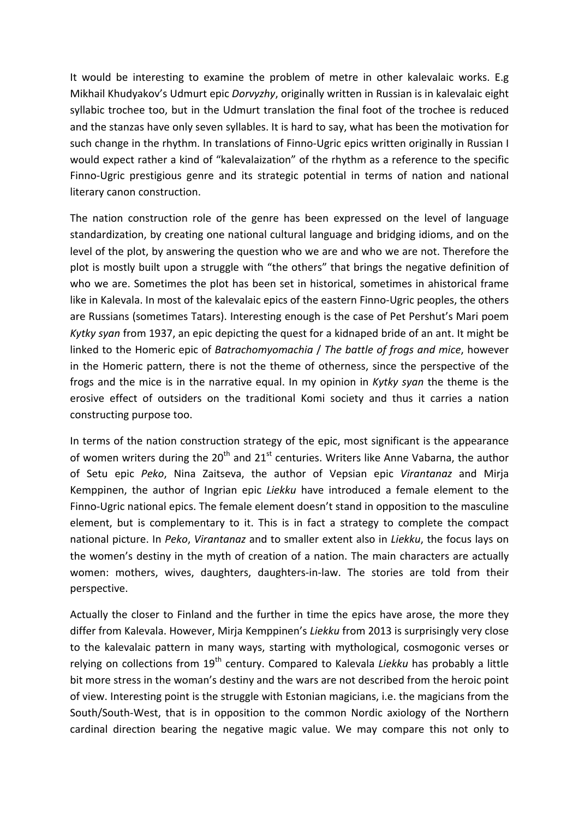It would be interesting to examine the problem of metre in other kalevalaic works. E.g Mikhail Khudyakov's Udmurt epic *Dorvyzhy*, originally written in Russian is in kalevalaic eight syllabic trochee too, but in the Udmurt translation the final foot of the trochee is reduced and the stanzas have only seven syllables. It is hard to say, what has been the motivation for such change in the rhythm. In translations of Finno-Ugric epics written originally in Russian I would expect rather a kind of "kalevalaization" of the rhythm as a reference to the specific Finno-Ugric prestigious genre and its strategic potential in terms of nation and national literary canon construction.

The nation construction role of the genre has been expressed on the level of language standardization, by creating one national cultural language and bridging idioms, and on the level of the plot, by answering the question who we are and who we are not. Therefore the plot is mostly built upon a struggle with "the others" that brings the negative definition of who we are. Sometimes the plot has been set in historical, sometimes in ahistorical frame like in Kalevala. In most of the kalevalaic epics of the eastern Finno-Ugric peoples, the others are Russians (sometimes Tatars). Interesting enough is the case of Pet Pershut's Mari poem *Kytky syan* from 1937, an epic depicting the quest for a kidnaped bride of an ant. It might be linked to the Homeric epic of *Batrachomyomachia* / *The battle of frogs and mice*, however in the Homeric pattern, there is not the theme of otherness, since the perspective of the frogs and the mice is in the narrative equal. In my opinion in *Kytky syan* the theme is the erosive effect of outsiders on the traditional Komi society and thus it carries a nation constructing purpose too.

In terms of the nation construction strategy of the epic, most significant is the appearance of women writers during the  $20<sup>th</sup>$  and  $21<sup>st</sup>$  centuries. Writers like Anne Vabarna, the author of Setu epic *Peko*, Nina Zaitseva, the author of Vepsian epic *Virantanaz* and Mirja Kemppinen, the author of Ingrian epic *Liekku* have introduced a female element to the Finno-Ugric national epics. The female element doesn't stand in opposition to the masculine element, but is complementary to it. This is in fact a strategy to complete the compact national picture. In Peko, Virantanaz and to smaller extent also in *Liekku*, the focus lays on the women's destiny in the myth of creation of a nation. The main characters are actually women: mothers, wives, daughters, daughters-in-law. The stories are told from their perspective.

Actually the closer to Finland and the further in time the epics have arose, the more they differ from Kalevala. However, Mirja Kemppinen's *Liekku* from 2013 is surprisingly very close to the kalevalaic pattern in many ways, starting with mythological, cosmogonic verses or relying on collections from 19<sup>th</sup> century. Compared to Kalevala *Liekku* has probably a little bit more stress in the woman's destiny and the wars are not described from the heroic point of view. Interesting point is the struggle with Estonian magicians, i.e. the magicians from the South/South-West, that is in opposition to the common Nordic axiology of the Northern cardinal direction bearing the negative magic value. We may compare this not only to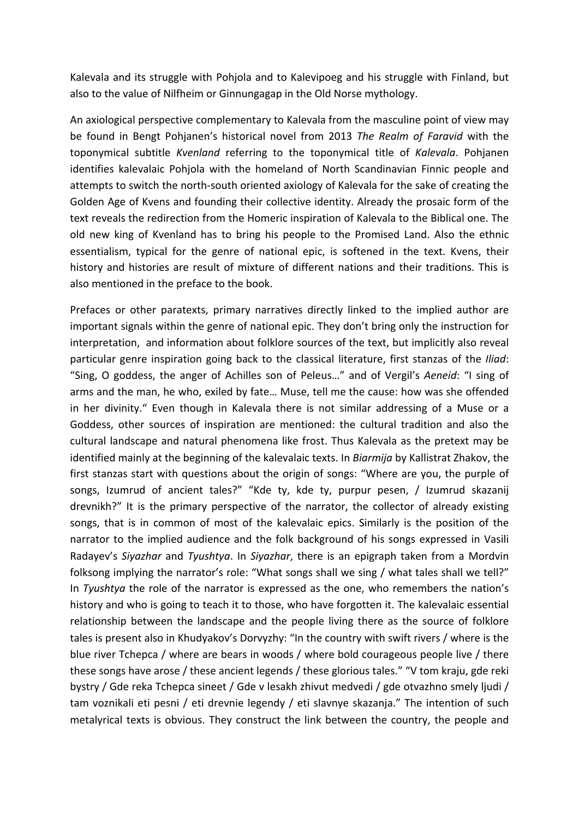Kalevala and its struggle with Pohjola and to Kalevipoeg and his struggle with Finland, but also to the value of Nilfheim or Ginnungagap in the Old Norse mythology.

An axiological perspective complementary to Kalevala from the masculine point of view may be found in Bengt Pohjanen's historical novel from 2013 The Realm of Faravid with the toponymical subtitle *Kvenland* referring to the toponymical title of *Kalevala*. Pohjanen identifies kalevalaic Pohjola with the homeland of North Scandinavian Finnic people and attempts to switch the north-south oriented axiology of Kalevala for the sake of creating the Golden Age of Kvens and founding their collective identity. Already the prosaic form of the text reveals the redirection from the Homeric inspiration of Kalevala to the Biblical one. The old new king of Kvenland has to bring his people to the Promised Land. Also the ethnic essentialism, typical for the genre of national epic, is softened in the text. Kvens, their history and histories are result of mixture of different nations and their traditions. This is also mentioned in the preface to the book.

Prefaces or other paratexts, primary narratives directly linked to the implied author are important signals within the genre of national epic. They don't bring only the instruction for interpretation, and information about folklore sources of the text, but implicitly also reveal particular genre inspiration going back to the classical literature, first stanzas of the *Iliad*: "Sing, O goddess, the anger of Achilles son of Peleus..." and of Vergil's Aeneid: "I sing of arms and the man, he who, exiled by fate... Muse, tell me the cause: how was she offended in her divinity." Even though in Kalevala there is not similar addressing of a Muse or a Goddess, other sources of inspiration are mentioned: the cultural tradition and also the cultural landscape and natural phenomena like frost. Thus Kalevala as the pretext may be identified mainly at the beginning of the kalevalaic texts. In *Biarmija* by Kallistrat Zhakov, the first stanzas start with questions about the origin of songs: "Where are you, the purple of songs, Izumrud of ancient tales?" "Kde ty, kde ty, purpur pesen, / Izumrud skazanij drevnikh?" It is the primary perspective of the narrator, the collector of already existing songs, that is in common of most of the kalevalaic epics. Similarly is the position of the narrator to the implied audience and the folk background of his songs expressed in Vasili Radayev's *Siyazhar* and *Tyushtya*. In *Siyazhar*, there is an epigraph taken from a Mordvin folksong implying the narrator's role: "What songs shall we sing / what tales shall we tell?" In *Tyushtya* the role of the narrator is expressed as the one, who remembers the nation's history and who is going to teach it to those, who have forgotten it. The kalevalaic essential relationship between the landscape and the people living there as the source of folklore tales is present also in Khudyakov's Dorvyzhy: "In the country with swift rivers / where is the blue river Tchepca / where are bears in woods / where bold courageous people live / there these songs have arose / these ancient legends / these glorious tales." "V tom kraju, gde reki bystry / Gde reka Tchepca sineet / Gde v lesakh zhivut medvedi / gde otvazhno smely ljudi / tam voznikali eti pesni / eti drevnie legendy / eti slavnye skazanja." The intention of such metalyrical texts is obvious. They construct the link between the country, the people and